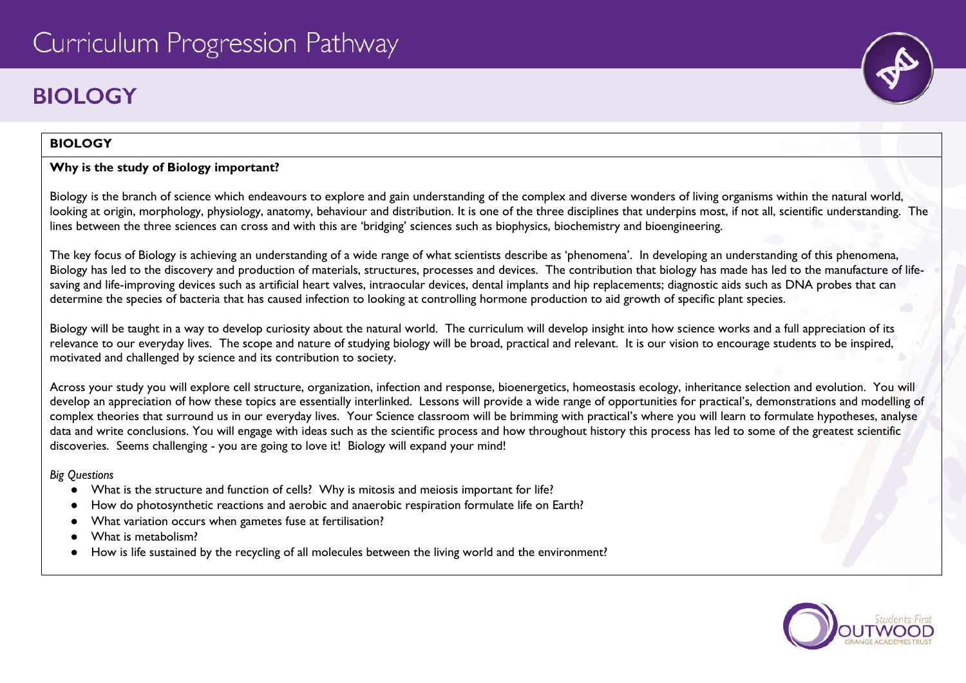# **BIOLOGY**

# **BIOLOGY**

# **Why is the study of Biology important?**

Biology is the branch of science which endeavours to explore and gain understanding of the complex and diverse wonders of living organisms within the natural world, looking at origin, morphology, physiology, anatomy, behaviour and distribution. It is one of the three disciplines that underpins most, if not all, scientific understanding. The lines between the three sciences can cross and with this are 'bridging' sciences such as biophysics, biochemistry and bioengineering.

The key focus of Biology is achieving an understanding of a wide range of what scientists describe as 'phenomena'. In developing an understanding of this phenomena, Biology has led to the discovery and production of materials, structures, processes and devices. The contribution that biology has made has led to the manufacture of lifesaving and life-improving devices such as artificial heart valves, intraocular devices, dental implants and hip replacements; diagnostic aids such as DNA probes that can determine the species of bacteria that has caused infection to looking at controlling hormone production to aid growth of specific plant species.

Biology will be taught in a way to develop curiosity about the natural world. The curriculum will develop insight into how science works and a full appreciation of its relevance to our everyday lives. The scope and nature of studying biology will be broad, practical and relevant. It is our vision to encourage students to be inspired, motivated and challenged by science and its contribution to society.

Across your study you will explore cell structure, organization, infection and response, bioenergetics, homeostasis ecology, inheritance selection and evolution. You will develop an appreciation of how these topics are essentially interlinked. Lessons will provide a wide range of opportunities for practical's, demonstrations and modelling of complex theories that surround us in our everyday lives. Your Science classroom will be brimming with practical's where you will learn to formulate hypotheses, analyse data and write conclusions. You will engage with ideas such as the scientific process and how throughout history this process has led to some of the greatest scientific discoveries. Seems challenging - you are going to love it! Biology will expand your mind!

*Big Questions*

- What is the structure and function of cells? Why is mitosis and meiosis important for life?
- How do photosynthetic reactions and aerobic and anaerobic respiration formulate life on Earth?
- What variation occurs when gametes fuse at fertilisation?
- What is metabolism?
- How is life sustained by the recycling of all molecules between the living world and the environment?

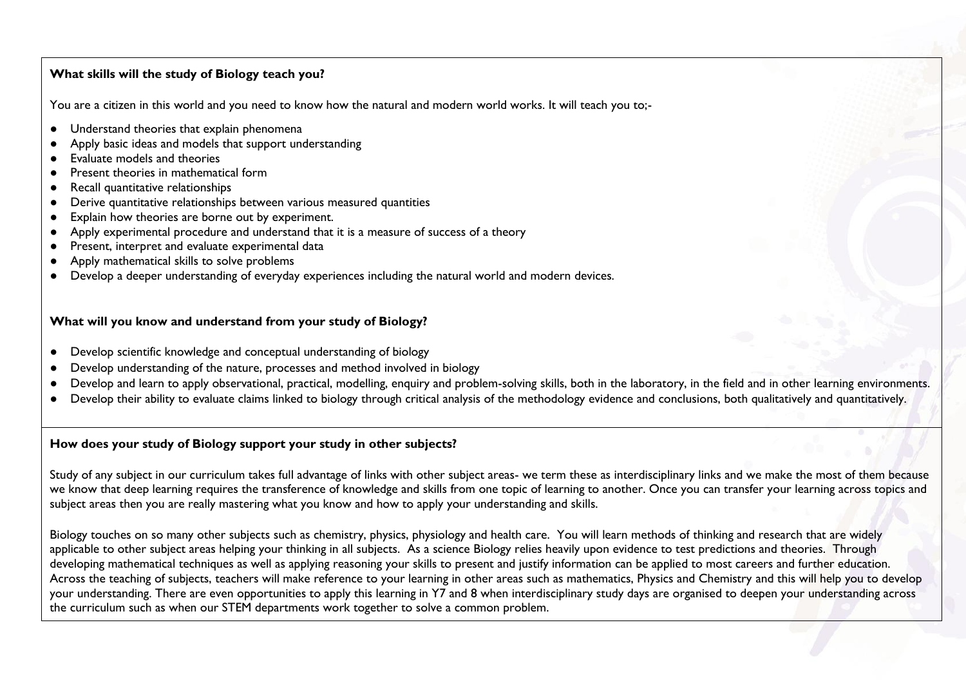## **What skills will the study of Biology teach you?**

You are a citizen in this world and you need to know how the natural and modern world works. It will teach you to;-

- Understand theories that explain phenomena
- Apply basic ideas and models that support understanding
- Evaluate models and theories
- Present theories in mathematical form
- Recall quantitative relationships
- Derive quantitative relationships between various measured quantities
- Explain how theories are borne out by experiment.
- Apply experimental procedure and understand that it is a measure of success of a theory
- Present, interpret and evaluate experimental data
- Apply mathematical skills to solve problems
- Develop a deeper understanding of everyday experiences including the natural world and modern devices.

### **What will you know and understand from your study of Biology?**

- Develop scientific knowledge and conceptual understanding of biology
- Develop understanding of the nature, processes and method involved in biology
- Develop and learn to apply observational, practical, modelling, enquiry and problem-solving skills, both in the laboratory, in the field and in other learning environments.
- Develop their ability to evaluate claims linked to biology through critical analysis of the methodology evidence and conclusions, both qualitatively and quantitatively.

## **How does your study of Biology support your study in other subjects?**

Study of any subject in our curriculum takes full advantage of links with other subject areas- we term these as interdisciplinary links and we make the most of them because we know that deep learning requires the transference of knowledge and skills from one topic of learning to another. Once you can transfer your learning across topics and subject areas then you are really mastering what you know and how to apply your understanding and skills.

Biology touches on so many other subjects such as chemistry, physics, physiology and health care. You will learn methods of thinking and research that are widely applicable to other subject areas helping your thinking in all subjects. As a science Biology relies heavily upon evidence to test predictions and theories. Through developing mathematical techniques as well as applying reasoning your skills to present and justify information can be applied to most careers and further education. Across the teaching of subjects, teachers will make reference to your learning in other areas such as mathematics, Physics and Chemistry and this will help you to develop your understanding. There are even opportunities to apply this learning in Y7 and 8 when interdisciplinary study days are organised to deepen your understanding across the curriculum such as when our STEM departments work together to solve a common problem.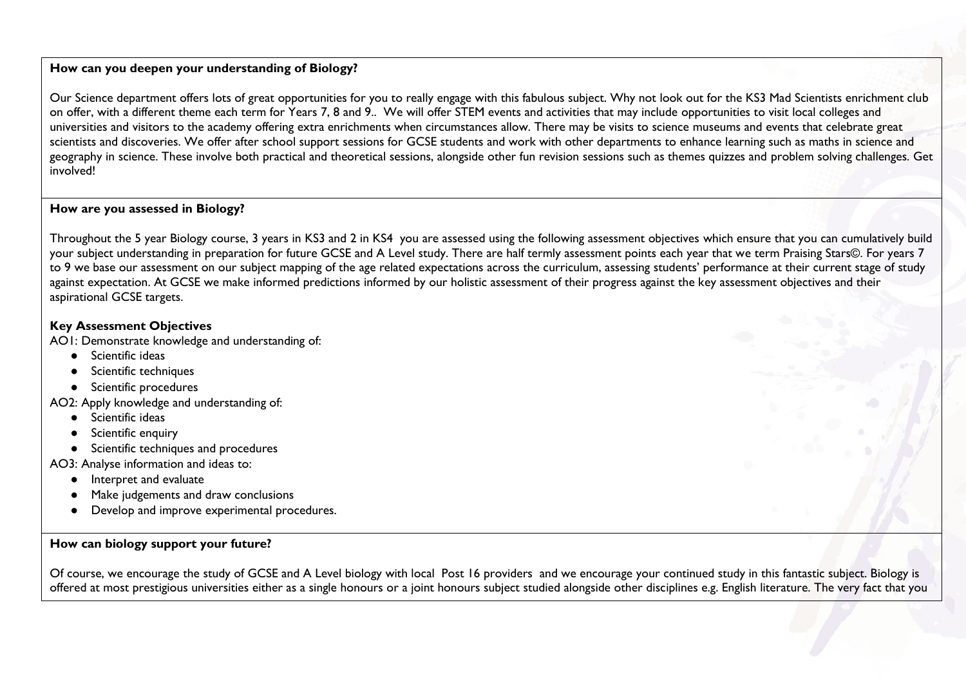## **How can you deepen your understanding of Biology?**

Our Science department offers lots of great opportunities for you to really engage with this fabulous subject. Why not look out for the KS3 Mad Scientists enrichment club on offer, with a different theme each term for Years 7, 8 and 9.. We will offer STEM events and activities that may include opportunities to visit local colleges and universities and visitors to the academy offering extra enrichments when circumstances allow. There may be visits to science museums and events that celebrate great scientists and discoveries. We offer after school support sessions for GCSE students and work with other departments to enhance learning such as maths in science and geography in science. These involve both practical and theoretical sessions, alongside other fun revision sessions such as themes quizzes and problem solving challenges. Get involved!

### **How are you assessed in Biology?**

Throughout the 5 year Biology course, 3 years in KS3 and 2 in KS4 you are assessed using the following assessment objectives which ensure that you can cumulatively build your subject understanding in preparation for future GCSE and A Level study. There are half termly assessment points each year that we term Praising Stars©. For years 7 to 9 we base our assessment on our subject mapping of the age related expectations across the curriculum, assessing students' performance at their current stage of study against expectation. At GCSE we make informed predictions informed by our holistic assessment of their progress against the key assessment objectives and their aspirational GCSE targets.

### **Key Assessment Objectives**

AO1: Demonstrate knowledge and understanding of:

- Scientific ideas
- Scientific techniques
- Scientific procedures
- AO2: Apply knowledge and understanding of:
	- Scientific ideas
	- Scientific enquiry
	- Scientific techniques and procedures
- AO3: Analyse information and ideas to:
	- Interpret and evaluate
	- Make judgements and draw conclusions
	- Develop and improve experimental procedures.

## **How can biology support your future?**

Of course, we encourage the study of GCSE and A Level biology with local Post 16 providers and we encourage your continued study in this fantastic subject. Biology is offered at most prestigious universities either as a single honours or a joint honours subject studied alongside other disciplines e.g. English literature. The very fact that you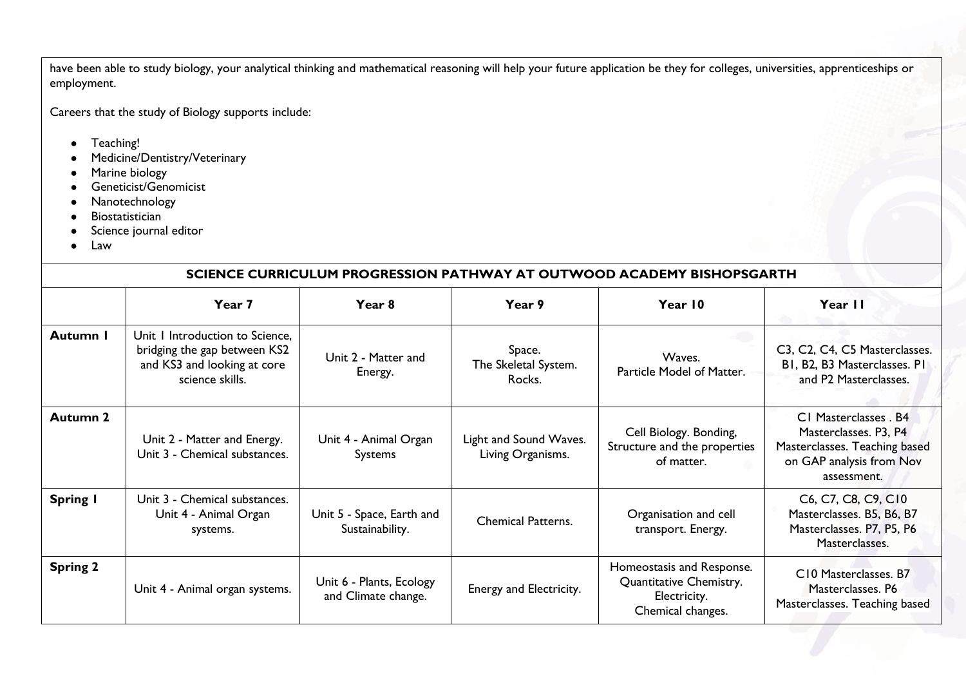have been able to study biology, your analytical thinking and mathematical reasoning will help your future application be they for colleges, universities, apprenticeships or employment.

Careers that the study of Biology supports include:

- Teaching!
- Medicine/Dentistry/Veterinary
- Marine biology
- Geneticist/Genomicist
- Nanotechnology
- Biostatistician
- Science journal editor
- Law

# **SCIENCE CURRICULUM PROGRESSION PATHWAY AT OUTWOOD ACADEMY BISHOPSGARTH**

|                 | Year 7                                                                                                            | Year 8                                          | Year 9                                      | Year 10                                                                                   | Year II                                                                                                                    |
|-----------------|-------------------------------------------------------------------------------------------------------------------|-------------------------------------------------|---------------------------------------------|-------------------------------------------------------------------------------------------|----------------------------------------------------------------------------------------------------------------------------|
| Autumn I        | Unit I Introduction to Science,<br>bridging the gap between KS2<br>and KS3 and looking at core<br>science skills. | Unit 2 - Matter and<br>Energy.                  | Space.<br>The Skeletal System.<br>Rocks.    | Waves.<br>Particle Model of Matter.                                                       | C3, C2, C4, C5 Masterclasses.<br>BI, B2, B3 Masterclasses. PI<br>and P2 Masterclasses.                                     |
| <b>Autumn 2</b> | Unit 2 - Matter and Energy.<br>Unit 3 - Chemical substances.                                                      | Unit 4 - Animal Organ<br><b>Systems</b>         | Light and Sound Waves.<br>Living Organisms. | Cell Biology. Bonding,<br>Structure and the properties<br>of matter.                      | C1 Masterclasses . B4<br>Masterclasses. P3, P4<br>Masterclasses. Teaching based<br>on GAP analysis from Nov<br>assessment. |
| <b>Spring I</b> | Unit 3 - Chemical substances.<br>Unit 4 - Animal Organ<br>systems.                                                | Unit 5 - Space, Earth and<br>Sustainability.    | <b>Chemical Patterns.</b>                   | Organisation and cell<br>transport. Energy.                                               | C6, C7, C8, C9, C10<br>Masterclasses. B5, B6, B7<br>Masterclasses. P7, P5, P6<br>Masterclasses.                            |
| <b>Spring 2</b> | Unit 4 - Animal organ systems.                                                                                    | Unit 6 - Plants, Ecology<br>and Climate change. | Energy and Electricity.                     | Homeostasis and Response.<br>Quantitative Chemistry.<br>Electricity.<br>Chemical changes. | C10 Masterclasses. B7<br>Masterclasses. P6<br>Masterclasses. Teaching based                                                |